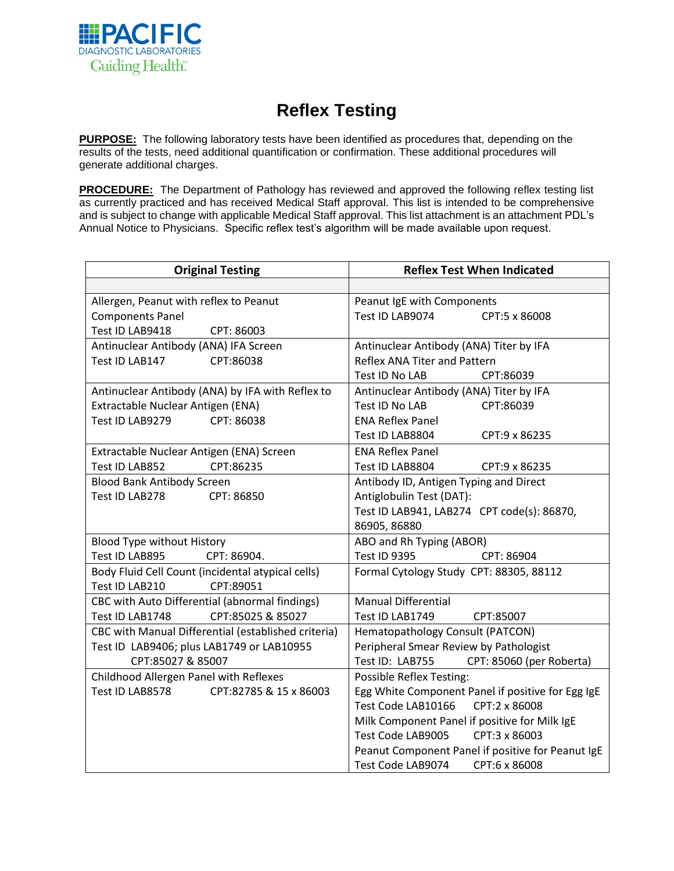

## **Reflex Testing**

**PURPOSE:** The following laboratory tests have been identified as procedures that, depending on the results of the tests, need additional quantification or confirmation. These additional procedures will generate additional charges.

**PROCEDURE:** The Department of Pathology has reviewed and approved the following reflex testing list as currently practiced and has received Medical Staff approval. This list is intended to be comprehensive and is subject to change with applicable Medical Staff approval. This list attachment is an attachment PDL's Annual Notice to Physicians. Specific reflex test's algorithm will be made available upon request.

| <b>Original Testing</b>                             | <b>Reflex Test When Indicated</b>                 |
|-----------------------------------------------------|---------------------------------------------------|
|                                                     |                                                   |
| Allergen, Peanut with reflex to Peanut              | Peanut IgE with Components                        |
| <b>Components Panel</b>                             | Test ID LAB9074<br>CPT:5 x 86008                  |
| Test ID LAB9418<br>CPT: 86003                       |                                                   |
| Antinuclear Antibody (ANA) IFA Screen               | Antinuclear Antibody (ANA) Titer by IFA           |
| Test ID LAB147<br>CPT:86038                         | Reflex ANA Titer and Pattern                      |
|                                                     | Test ID No LAB<br>CPT:86039                       |
| Antinuclear Antibody (ANA) by IFA with Reflex to    | Antinuclear Antibody (ANA) Titer by IFA           |
| Extractable Nuclear Antigen (ENA)                   | Test ID No LAB<br>CPT:86039                       |
| Test ID LAB9279<br>CPT: 86038                       | <b>ENA Reflex Panel</b>                           |
|                                                     | Test ID LAB8804<br>CPT:9 x 86235                  |
| Extractable Nuclear Antigen (ENA) Screen            | <b>ENA Reflex Panel</b>                           |
| CPT:86235<br>Test ID LAB852                         | Test ID LAB8804<br>CPT:9 x 86235                  |
| <b>Blood Bank Antibody Screen</b>                   | Antibody ID, Antigen Typing and Direct            |
| Test ID LAB278<br>CPT: 86850                        | Antiglobulin Test (DAT):                          |
|                                                     | Test ID LAB941, LAB274 CPT code(s): 86870,        |
|                                                     | 86905, 86880                                      |
| <b>Blood Type without History</b>                   | ABO and Rh Typing (ABOR)                          |
| Test ID LAB895<br>CPT: 86904.                       | Test ID 9395<br>CPT: 86904                        |
| Body Fluid Cell Count (incidental atypical cells)   | Formal Cytology Study CPT: 88305, 88112           |
| CPT:89051<br>Test ID LAB210                         |                                                   |
| CBC with Auto Differential (abnormal findings)      | <b>Manual Differential</b>                        |
| CPT:85025 & 85027<br>Test ID LAB1748                | Test ID LAB1749<br>CPT:85007                      |
| CBC with Manual Differential (established criteria) | Hematopathology Consult (PATCON)                  |
| Test ID LAB9406; plus LAB1749 or LAB10955           | Peripheral Smear Review by Pathologist            |
| CPT:85027 & 85007                                   | Test ID: LAB755<br>CPT: 85060 (per Roberta)       |
| Childhood Allergen Panel with Reflexes              | Possible Reflex Testing:                          |
| Test ID LAB8578<br>CPT:82785 & 15 x 86003           | Egg White Component Panel if positive for Egg IgE |
|                                                     | Test Code LAB10166<br>CPT:2 x 86008               |
|                                                     | Milk Component Panel if positive for Milk IgE     |
|                                                     | Test Code LAB9005<br>CPT:3 x 86003                |
|                                                     | Peanut Component Panel if positive for Peanut IgE |
|                                                     | Test Code LAB9074<br>CPT:6 x 86008                |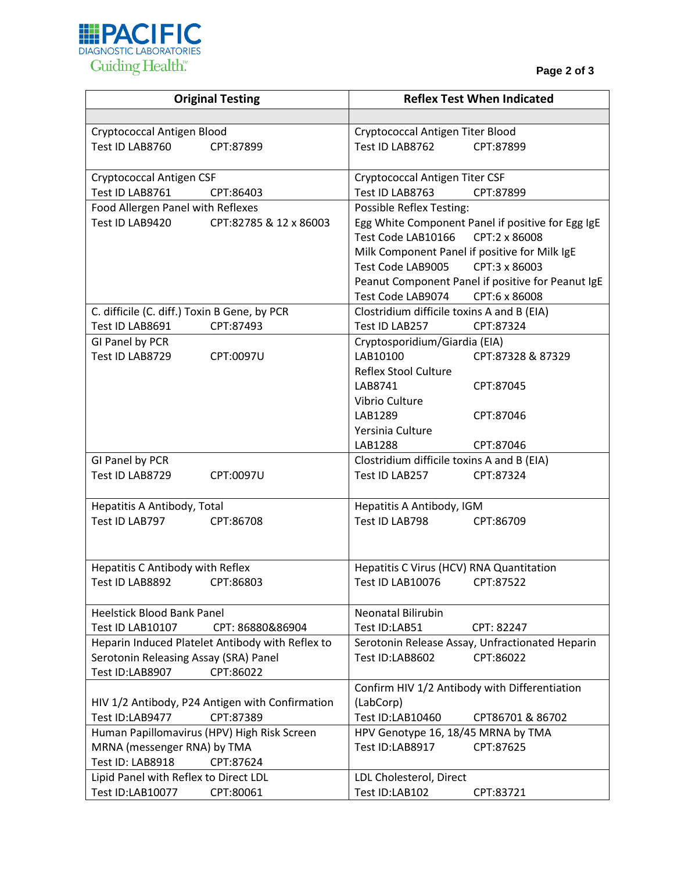

| <b>Original Testing</b>                                                      | <b>Reflex Test When Indicated</b>                                         |
|------------------------------------------------------------------------------|---------------------------------------------------------------------------|
|                                                                              |                                                                           |
| Cryptococcal Antigen Blood                                                   | Cryptococcal Antigen Titer Blood                                          |
| Test ID LAB8760<br>CPT:87899                                                 | Test ID LAB8762<br>CPT:87899                                              |
|                                                                              |                                                                           |
| <b>Cryptococcal Antigen CSF</b>                                              | Cryptococcal Antigen Titer CSF                                            |
| Test ID LAB8761<br>CPT:86403                                                 | Test ID LAB8763<br>CPT:87899                                              |
| Food Allergen Panel with Reflexes                                            | Possible Reflex Testing:                                                  |
| Test ID LAB9420<br>CPT:82785 & 12 x 86003                                    | Egg White Component Panel if positive for Egg IgE                         |
|                                                                              | CPT:2 x 86008<br>Test Code LAB10166                                       |
|                                                                              | Milk Component Panel if positive for Milk IgE                             |
|                                                                              | Test Code LAB9005 CPT:3 x 86003                                           |
|                                                                              | Peanut Component Panel if positive for Peanut IgE                         |
|                                                                              | Test Code LAB9074<br>CPT:6 x 86008                                        |
| C. difficile (C. diff.) Toxin B Gene, by PCR<br>Test ID LAB8691<br>CPT:87493 | Clostridium difficile toxins A and B (EIA)<br>CPT:87324<br>Test ID LAB257 |
| GI Panel by PCR                                                              | Cryptosporidium/Giardia (EIA)                                             |
| Test ID LAB8729<br>CPT:0097U                                                 | LAB10100<br>CPT:87328 & 87329                                             |
|                                                                              | <b>Reflex Stool Culture</b>                                               |
|                                                                              | LAB8741<br>CPT:87045                                                      |
|                                                                              | Vibrio Culture                                                            |
|                                                                              | LAB1289<br>CPT:87046                                                      |
|                                                                              | Yersinia Culture                                                          |
|                                                                              | LAB1288<br>CPT:87046                                                      |
| GI Panel by PCR                                                              | Clostridium difficile toxins A and B (EIA)                                |
| Test ID LAB8729<br>CPT:0097U                                                 | Test ID LAB257<br>CPT:87324                                               |
|                                                                              |                                                                           |
| Hepatitis A Antibody, Total                                                  | Hepatitis A Antibody, IGM                                                 |
| Test ID LAB797<br>CPT:86708                                                  | Test ID LAB798<br>CPT:86709                                               |
|                                                                              |                                                                           |
| Hepatitis C Antibody with Reflex                                             | Hepatitis C Virus (HCV) RNA Quantitation                                  |
| Test ID LAB8892 CPT:86803                                                    | Test ID LAB10076 CPT:87522                                                |
|                                                                              |                                                                           |
| <b>Heelstick Blood Bank Panel</b>                                            | Neonatal Bilirubin                                                        |
| Test ID LAB10107<br>CPT: 86880&86904                                         | Test ID:LAB51<br>CPT: 82247                                               |
| Heparin Induced Platelet Antibody with Reflex to                             | Serotonin Release Assay, Unfractionated Heparin                           |
| Serotonin Releasing Assay (SRA) Panel                                        | Test ID:LAB8602<br>CPT:86022                                              |
| Test ID:LAB8907<br>CPT:86022                                                 |                                                                           |
|                                                                              | Confirm HIV 1/2 Antibody with Differentiation                             |
| HIV 1/2 Antibody, P24 Antigen with Confirmation                              | (LabCorp)                                                                 |
| Test ID:LAB9477<br>CPT:87389                                                 | Test ID:LAB10460<br>CPT86701 & 86702                                      |
| Human Papillomavirus (HPV) High Risk Screen                                  | HPV Genotype 16, 18/45 MRNA by TMA                                        |
| MRNA (messenger RNA) by TMA                                                  | Test ID:LAB8917<br>CPT:87625                                              |
| Test ID: LAB8918<br>CPT:87624                                                |                                                                           |
| Lipid Panel with Reflex to Direct LDL                                        | LDL Cholesterol, Direct                                                   |
| Test ID:LAB10077<br>CPT:80061                                                | Test ID:LAB102<br>CPT:83721                                               |